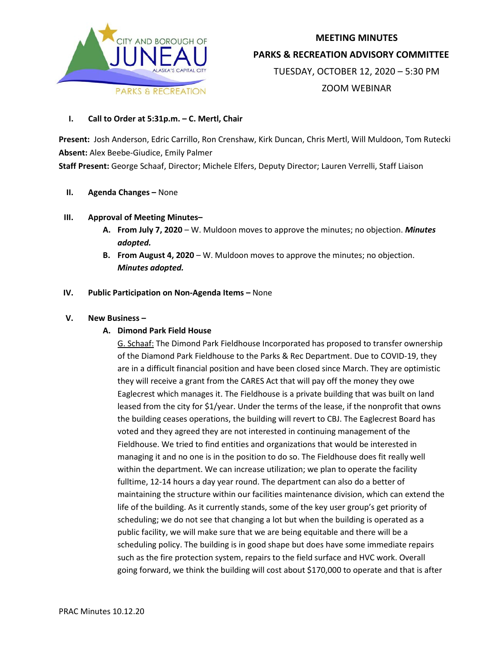

# **MEETING MINUTES PARKS & RECREATION ADVISORY COMMITTEE** TUESDAY, OCTOBER 12, 2020 – 5:30 PM ZOOM WEBINAR

# **I. Call to Order at 5:31p.m. – C. Mertl, Chair**

**Present:** Josh Anderson, Edric Carrillo, Ron Crenshaw, Kirk Duncan, Chris Mertl, Will Muldoon, Tom Rutecki **Absent:** Alex Beebe-Giudice, Emily Palmer

**Staff Present:** George Schaaf, Director; Michele Elfers, Deputy Director; Lauren Verrelli, Staff Liaison

# **II. Agenda Changes –** None

# **III. Approval of Meeting Minutes–**

- **A. From July 7, 2020** W. Muldoon moves to approve the minutes; no objection. *Minutes adopted.*
- **B. From August 4, 2020** W. Muldoon moves to approve the minutes; no objection. *Minutes adopted.*

# **IV. Public Participation on Non-Agenda Items –** None

# **V. New Business –**

# **A. Dimond Park Field House**

G. Schaaf: The Dimond Park Fieldhouse Incorporated has proposed to transfer ownership of the Diamond Park Fieldhouse to the Parks & Rec Department. Due to COVID-19, they are in a difficult financial position and have been closed since March. They are optimistic they will receive a grant from the CARES Act that will pay off the money they owe Eaglecrest which manages it. The Fieldhouse is a private building that was built on land leased from the city for \$1/year. Under the terms of the lease, if the nonprofit that owns the building ceases operations, the building will revert to CBJ. The Eaglecrest Board has voted and they agreed they are not interested in continuing management of the Fieldhouse. We tried to find entities and organizations that would be interested in managing it and no one is in the position to do so. The Fieldhouse does fit really well within the department. We can increase utilization; we plan to operate the facility fulltime, 12-14 hours a day year round. The department can also do a better of maintaining the structure within our facilities maintenance division, which can extend the life of the building. As it currently stands, some of the key user group's get priority of scheduling; we do not see that changing a lot but when the building is operated as a public facility, we will make sure that we are being equitable and there will be a scheduling policy. The building is in good shape but does have some immediate repairs such as the fire protection system, repairs to the field surface and HVC work. Overall going forward, we think the building will cost about \$170,000 to operate and that is after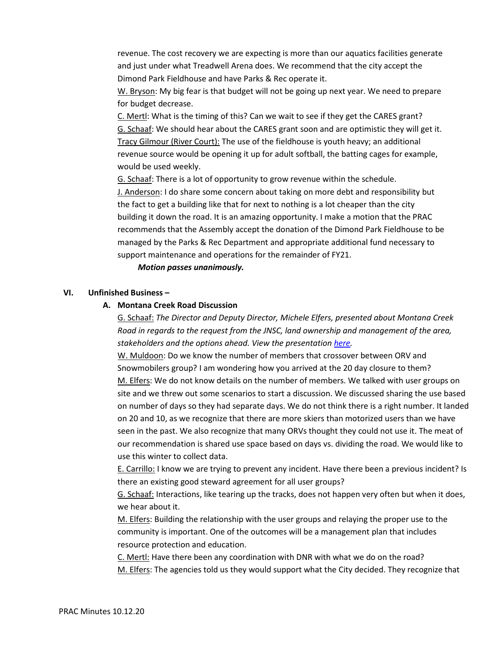revenue. The cost recovery we are expecting is more than our aquatics facilities generate and just under what Treadwell Arena does. We recommend that the city accept the Dimond Park Fieldhouse and have Parks & Rec operate it.

W. Bryson: My big fear is that budget will not be going up next year. We need to prepare for budget decrease.

C. Mertl: What is the timing of this? Can we wait to see if they get the CARES grant? G. Schaaf: We should hear about the CARES grant soon and are optimistic they will get it. Tracy Gilmour (River Court): The use of the fieldhouse is youth heavy; an additional revenue source would be opening it up for adult softball, the batting cages for example, would be used weekly.

G. Schaaf: There is a lot of opportunity to grow revenue within the schedule. J. Anderson: I do share some concern about taking on more debt and responsibility but the fact to get a building like that for next to nothing is a lot cheaper than the city building it down the road. It is an amazing opportunity. I make a motion that the PRAC recommends that the Assembly accept the donation of the Dimond Park Fieldhouse to be managed by the Parks & Rec Department and appropriate additional fund necessary to support maintenance and operations for the remainder of FY21.

 *Motion passes unanimously.* 

# **VI. Unfinished Business –**

#### **A. Montana Creek Road Discussion**

G. Schaaf: *The Director and Deputy Director, Michele Elfers, presented about Montana Creek Road in regards to the request from the JNSC, land ownership and management of the area, stakeholders and the options ahead. View the presentation [here.](https://juneau.org/index.php?gf-download=2020%2F10%2FFINAL-PRAC-10-12-Montana-Creek-Road-Use.pdf&form-id=125&field-id=23&hash=c673cc6155617bacb1fdbfec57c6b3ce098e6183c4baf9bf7ec1d80802dec7f4)*

W. Muldoon: Do we know the number of members that crossover between ORV and Snowmobilers group? I am wondering how you arrived at the 20 day closure to them? M. Elfers: We do not know details on the number of members. We talked with user groups on site and we threw out some scenarios to start a discussion. We discussed sharing the use based on number of days so they had separate days. We do not think there is a right number. It landed on 20 and 10, as we recognize that there are more skiers than motorized users than we have seen in the past. We also recognize that many ORVs thought they could not use it. The meat of our recommendation is shared use space based on days vs. dividing the road. We would like to use this winter to collect data.

E. Carrillo: I know we are trying to prevent any incident. Have there been a previous incident? Is there an existing good steward agreement for all user groups?

G. Schaaf: Interactions, like tearing up the tracks, does not happen very often but when it does, we hear about it.

M. Elfers: Building the relationship with the user groups and relaying the proper use to the community is important. One of the outcomes will be a management plan that includes resource protection and education.

C. Mertl: Have there been any coordination with DNR with what we do on the road? M. Elfers: The agencies told us they would support what the City decided. They recognize that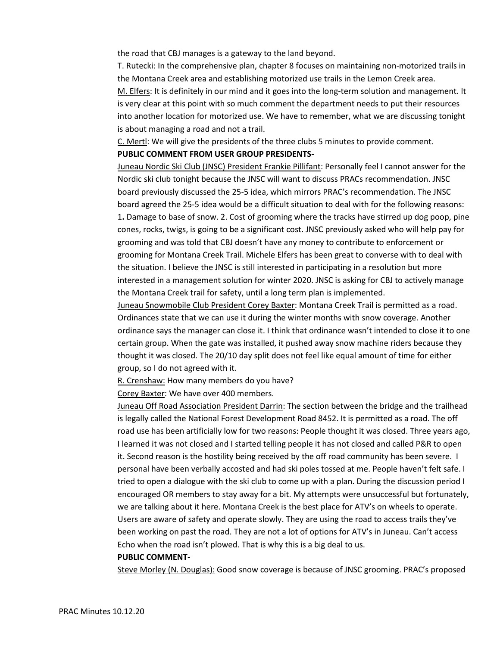the road that CBJ manages is a gateway to the land beyond.

T. Rutecki: In the comprehensive plan, chapter 8 focuses on maintaining non-motorized trails in the Montana Creek area and establishing motorized use trails in the Lemon Creek area.

M. Elfers: It is definitely in our mind and it goes into the long-term solution and management. It is very clear at this point with so much comment the department needs to put their resources into another location for motorized use. We have to remember, what we are discussing tonight is about managing a road and not a trail.

C. Mertl: We will give the presidents of the three clubs 5 minutes to provide comment.

#### **PUBLIC COMMENT FROM USER GROUP PRESIDENTS-**

Juneau Nordic Ski Club (JNSC) President Frankie Pillifant: Personally feel I cannot answer for the Nordic ski club tonight because the JNSC will want to discuss PRACs recommendation. JNSC board previously discussed the 25-5 idea, which mirrors PRAC's recommendation. The JNSC board agreed the 25-5 idea would be a difficult situation to deal with for the following reasons: 1**.** Damage to base of snow. 2. Cost of grooming where the tracks have stirred up dog poop, pine cones, rocks, twigs, is going to be a significant cost. JNSC previously asked who will help pay for grooming and was told that CBJ doesn't have any money to contribute to enforcement or grooming for Montana Creek Trail. Michele Elfers has been great to converse with to deal with the situation. I believe the JNSC is still interested in participating in a resolution but more interested in a management solution for winter 2020. JNSC is asking for CBJ to actively manage the Montana Creek trail for safety, until a long term plan is implemented.

Juneau Snowmobile Club President Corey Baxter: Montana Creek Trail is permitted as a road. Ordinances state that we can use it during the winter months with snow coverage. Another ordinance says the manager can close it. I think that ordinance wasn't intended to close it to one certain group. When the gate was installed, it pushed away snow machine riders because they thought it was closed. The 20/10 day split does not feel like equal amount of time for either group, so I do not agreed with it.

R. Crenshaw: How many members do you have?

Corey Baxter: We have over 400 members.

Juneau Off Road Association President Darrin: The section between the bridge and the trailhead is legally called the National Forest Development Road 8452. It is permitted as a road. The off road use has been artificially low for two reasons: People thought it was closed. Three years ago, I learned it was not closed and I started telling people it has not closed and called P&R to open it. Second reason is the hostility being received by the off road community has been severe. I personal have been verbally accosted and had ski poles tossed at me. People haven't felt safe. I tried to open a dialogue with the ski club to come up with a plan. During the discussion period I encouraged OR members to stay away for a bit. My attempts were unsuccessful but fortunately, we are talking about it here. Montana Creek is the best place for ATV's on wheels to operate. Users are aware of safety and operate slowly. They are using the road to access trails they've been working on past the road. They are not a lot of options for ATV's in Juneau. Can't access Echo when the road isn't plowed. That is why this is a big deal to us.

#### **PUBLIC COMMENT-**

Steve Morley (N. Douglas): Good snow coverage is because of JNSC grooming. PRAC's proposed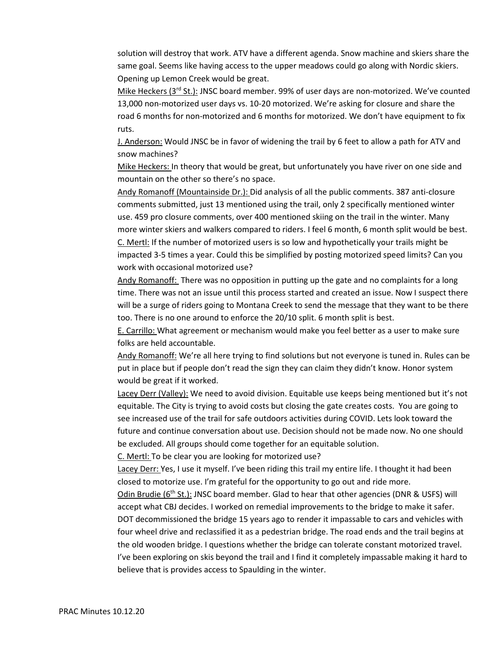solution will destroy that work. ATV have a different agenda. Snow machine and skiers share the same goal. Seems like having access to the upper meadows could go along with Nordic skiers. Opening up Lemon Creek would be great.

Mike Heckers (3rd St.): JNSC board member. 99% of user days are non-motorized. We've counted 13,000 non-motorized user days vs. 10-20 motorized. We're asking for closure and share the road 6 months for non-motorized and 6 months for motorized. We don't have equipment to fix ruts.

J. Anderson: Would JNSC be in favor of widening the trail by 6 feet to allow a path for ATV and snow machines?

Mike Heckers: In theory that would be great, but unfortunately you have river on one side and mountain on the other so there's no space.

Andy Romanoff (Mountainside Dr.): Did analysis of all the public comments. 387 anti-closure comments submitted, just 13 mentioned using the trail, only 2 specifically mentioned winter use. 459 pro closure comments, over 400 mentioned skiing on the trail in the winter. Many more winter skiers and walkers compared to riders. I feel 6 month, 6 month split would be best. C. Mertl: If the number of motorized users is so low and hypothetically your trails might be impacted 3-5 times a year. Could this be simplified by posting motorized speed limits? Can you work with occasional motorized use?

Andy Romanoff: There was no opposition in putting up the gate and no complaints for a long time. There was not an issue until this process started and created an issue. Now I suspect there will be a surge of riders going to Montana Creek to send the message that they want to be there too. There is no one around to enforce the 20/10 split. 6 month split is best.

E. Carrillo: What agreement or mechanism would make you feel better as a user to make sure folks are held accountable.

Andy Romanoff: We're all here trying to find solutions but not everyone is tuned in. Rules can be put in place but if people don't read the sign they can claim they didn't know. Honor system would be great if it worked.

Lacey Derr (Valley): We need to avoid division. Equitable use keeps being mentioned but it's not equitable. The City is trying to avoid costs but closing the gate creates costs. You are going to see increased use of the trail for safe outdoors activities during COVID. Lets look toward the future and continue conversation about use. Decision should not be made now. No one should be excluded. All groups should come together for an equitable solution.

C. Mertl: To be clear you are looking for motorized use?

Lacey Derr: Yes, I use it myself. I've been riding this trail my entire life. I thought it had been closed to motorize use. I'm grateful for the opportunity to go out and ride more.

Odin Brudie (6<sup>th</sup> St.): JNSC board member. Glad to hear that other agencies (DNR & USFS) will accept what CBJ decides. I worked on remedial improvements to the bridge to make it safer. DOT decommissioned the bridge 15 years ago to render it impassable to cars and vehicles with four wheel drive and reclassified it as a pedestrian bridge. The road ends and the trail begins at the old wooden bridge. I questions whether the bridge can tolerate constant motorized travel. I've been exploring on skis beyond the trail and I find it completely impassable making it hard to believe that is provides access to Spaulding in the winter.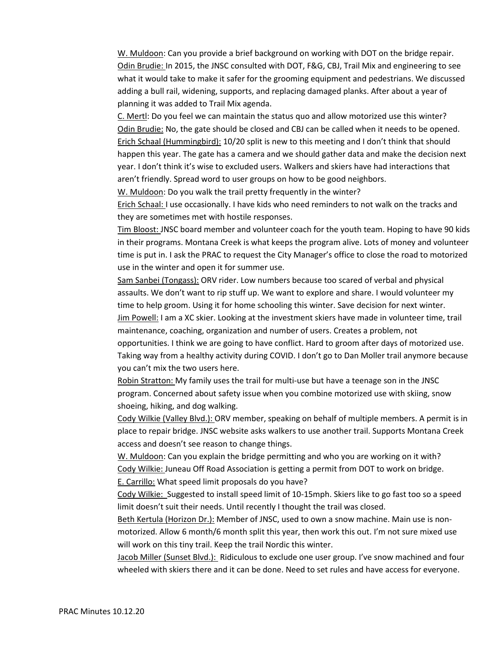W. Muldoon: Can you provide a brief background on working with DOT on the bridge repair. Odin Brudie: In 2015, the JNSC consulted with DOT, F&G, CBJ, Trail Mix and engineering to see what it would take to make it safer for the grooming equipment and pedestrians. We discussed adding a bull rail, widening, supports, and replacing damaged planks. After about a year of planning it was added to Trail Mix agenda.

C. Mertl: Do you feel we can maintain the status quo and allow motorized use this winter? Odin Brudie: No, the gate should be closed and CBJ can be called when it needs to be opened. Erich Schaal (Hummingbird): 10/20 split is new to this meeting and I don't think that should happen this year. The gate has a camera and we should gather data and make the decision next year. I don't think it's wise to excluded users. Walkers and skiers have had interactions that aren't friendly. Spread word to user groups on how to be good neighbors.

W. Muldoon: Do you walk the trail pretty frequently in the winter?

Erich Schaal: I use occasionally. I have kids who need reminders to not walk on the tracks and they are sometimes met with hostile responses.

Tim Bloost: JNSC board member and volunteer coach for the youth team. Hoping to have 90 kids in their programs. Montana Creek is what keeps the program alive. Lots of money and volunteer time is put in. I ask the PRAC to request the City Manager's office to close the road to motorized use in the winter and open it for summer use.

Sam Sanbei (Tongass): ORV rider. Low numbers because too scared of verbal and physical assaults. We don't want to rip stuff up. We want to explore and share. I would volunteer my time to help groom. Using it for home schooling this winter. Save decision for next winter. Jim Powell: I am a XC skier. Looking at the investment skiers have made in volunteer time, trail maintenance, coaching, organization and number of users. Creates a problem, not opportunities. I think we are going to have conflict. Hard to groom after days of motorized use. Taking way from a healthy activity during COVID. I don't go to Dan Moller trail anymore because

you can't mix the two users here.

Robin Stratton: My family uses the trail for multi-use but have a teenage son in the JNSC program. Concerned about safety issue when you combine motorized use with skiing, snow shoeing, hiking, and dog walking.

Cody Wilkie (Valley Blvd.): ORV member, speaking on behalf of multiple members. A permit is in place to repair bridge. JNSC website asks walkers to use another trail. Supports Montana Creek access and doesn't see reason to change things.

W. Muldoon: Can you explain the bridge permitting and who you are working on it with? Cody Wilkie: Juneau Off Road Association is getting a permit from DOT to work on bridge. E. Carrillo: What speed limit proposals do you have?

Cody Wilkie: Suggested to install speed limit of 10-15mph. Skiers like to go fast too so a speed limit doesn't suit their needs. Until recently I thought the trail was closed.

Beth Kertula (Horizon Dr.): Member of JNSC, used to own a snow machine. Main use is nonmotorized. Allow 6 month/6 month split this year, then work this out. I'm not sure mixed use will work on this tiny trail. Keep the trail Nordic this winter.

Jacob Miller (Sunset Blvd.): Ridiculous to exclude one user group. I've snow machined and four wheeled with skiers there and it can be done. Need to set rules and have access for everyone.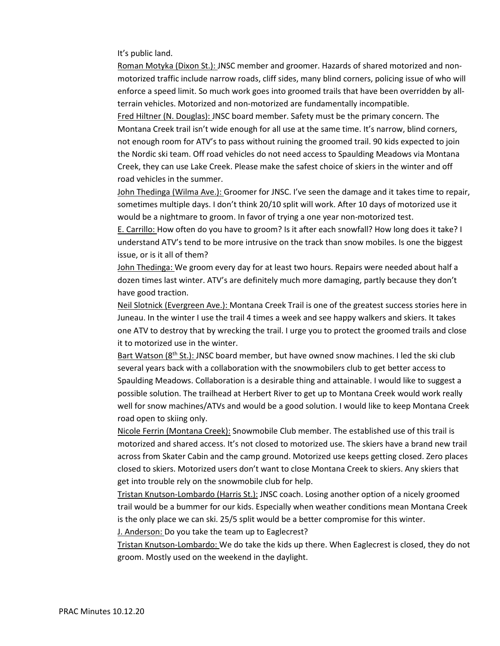It's public land.

Roman Motyka (Dixon St.): JNSC member and groomer. Hazards of shared motorized and nonmotorized traffic include narrow roads, cliff sides, many blind corners, policing issue of who will enforce a speed limit. So much work goes into groomed trails that have been overridden by allterrain vehicles. Motorized and non-motorized are fundamentally incompatible.

Fred Hiltner (N. Douglas): JNSC board member. Safety must be the primary concern. The Montana Creek trail isn't wide enough for all use at the same time. It's narrow, blind corners, not enough room for ATV's to pass without ruining the groomed trail. 90 kids expected to join the Nordic ski team. Off road vehicles do not need access to Spaulding Meadows via Montana Creek, they can use Lake Creek. Please make the safest choice of skiers in the winter and off road vehicles in the summer.

John Thedinga (Wilma Ave.): Groomer for JNSC. I've seen the damage and it takes time to repair, sometimes multiple days. I don't think 20/10 split will work. After 10 days of motorized use it would be a nightmare to groom. In favor of trying a one year non-motorized test.

E. Carrillo: How often do you have to groom? Is it after each snowfall? How long does it take? I understand ATV's tend to be more intrusive on the track than snow mobiles. Is one the biggest issue, or is it all of them?

John Thedinga: We groom every day for at least two hours. Repairs were needed about half a dozen times last winter. ATV's are definitely much more damaging, partly because they don't have good traction.

Neil Slotnick (Evergreen Ave.): Montana Creek Trail is one of the greatest success stories here in Juneau. In the winter I use the trail 4 times a week and see happy walkers and skiers. It takes one ATV to destroy that by wrecking the trail. I urge you to protect the groomed trails and close it to motorized use in the winter.

Bart Watson ( $8<sup>th</sup>$  St.): JNSC board member, but have owned snow machines. I led the ski club several years back with a collaboration with the snowmobilers club to get better access to Spaulding Meadows. Collaboration is a desirable thing and attainable. I would like to suggest a possible solution. The trailhead at Herbert River to get up to Montana Creek would work really well for snow machines/ATVs and would be a good solution. I would like to keep Montana Creek road open to skiing only.

Nicole Ferrin (Montana Creek): Snowmobile Club member. The established use of this trail is motorized and shared access. It's not closed to motorized use. The skiers have a brand new trail across from Skater Cabin and the camp ground. Motorized use keeps getting closed. Zero places closed to skiers. Motorized users don't want to close Montana Creek to skiers. Any skiers that get into trouble rely on the snowmobile club for help.

Tristan Knutson-Lombardo (Harris St.): JNSC coach. Losing another option of a nicely groomed trail would be a bummer for our kids. Especially when weather conditions mean Montana Creek is the only place we can ski. 25/5 split would be a better compromise for this winter.

J. Anderson: Do you take the team up to Eaglecrest?

Tristan Knutson-Lombardo: We do take the kids up there. When Eaglecrest is closed, they do not groom. Mostly used on the weekend in the daylight.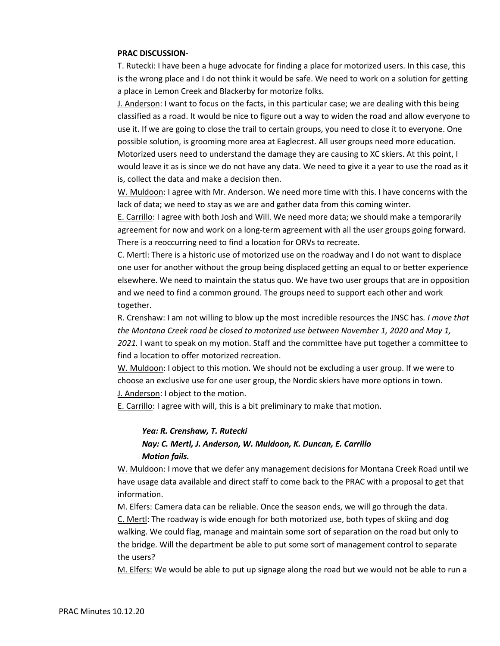#### **PRAC DISCUSSION-**

T. Rutecki: I have been a huge advocate for finding a place for motorized users. In this case, this is the wrong place and I do not think it would be safe. We need to work on a solution for getting a place in Lemon Creek and Blackerby for motorize folks.

J. Anderson: I want to focus on the facts, in this particular case; we are dealing with this being classified as a road. It would be nice to figure out a way to widen the road and allow everyone to use it. If we are going to close the trail to certain groups, you need to close it to everyone. One possible solution, is grooming more area at Eaglecrest. All user groups need more education. Motorized users need to understand the damage they are causing to XC skiers. At this point, I would leave it as is since we do not have any data. We need to give it a year to use the road as it is, collect the data and make a decision then.

W. Muldoon: I agree with Mr. Anderson. We need more time with this. I have concerns with the lack of data; we need to stay as we are and gather data from this coming winter.

E. Carrillo: I agree with both Josh and Will. We need more data; we should make a temporarily agreement for now and work on a long-term agreement with all the user groups going forward. There is a reoccurring need to find a location for ORVs to recreate.

C. Mertl: There is a historic use of motorized use on the roadway and I do not want to displace one user for another without the group being displaced getting an equal to or better experience elsewhere. We need to maintain the status quo. We have two user groups that are in opposition and we need to find a common ground. The groups need to support each other and work together.

R. Crenshaw: I am not willing to blow up the most incredible resources the JNSC has*. I move that the Montana Creek road be closed to motorized use between November 1, 2020 and May 1, 2021.* I want to speak on my motion. Staff and the committee have put together a committee to find a location to offer motorized recreation.

W. Muldoon: I object to this motion. We should not be excluding a user group. If we were to choose an exclusive use for one user group, the Nordic skiers have more options in town.

J. Anderson: I object to the motion.

E. Carrillo: I agree with will, this is a bit preliminary to make that motion.

# *Yea: R. Crenshaw, T. Rutecki Nay: C. Mertl, J. Anderson, W. Muldoon, K. Duncan, E. Carrillo Motion fails.*

W. Muldoon: I move that we defer any management decisions for Montana Creek Road until we have usage data available and direct staff to come back to the PRAC with a proposal to get that information.

M. Elfers: Camera data can be reliable. Once the season ends, we will go through the data. C. Mertl: The roadway is wide enough for both motorized use, both types of skiing and dog walking. We could flag, manage and maintain some sort of separation on the road but only to the bridge. Will the department be able to put some sort of management control to separate the users?

M. Elfers: We would be able to put up signage along the road but we would not be able to run a